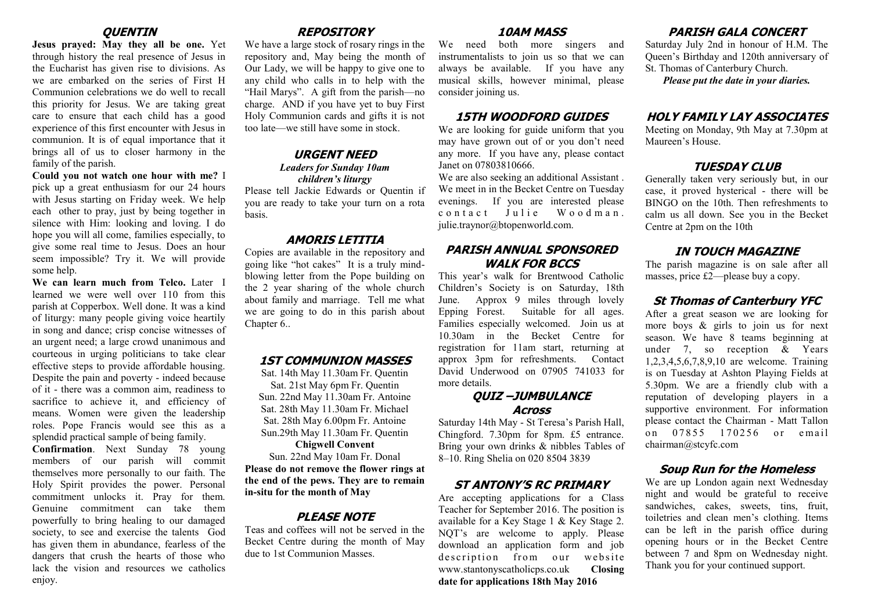## **QUENTIN**

**Jesus prayed: May they all be one.** Yet through history the real presence of Jesus in the Eucharist has given rise to divisions. As we are embarked on the series of First H Communion celebrations we do well to recall this priority for Jesus. We are taking great care to ensure that each child has a good experience of this first encounter with Jesus in communion. It is of equal importance that it brings all of us to closer harmony in the family of the parish.

## **Could you not watch one hour with me?** I

pick up a great enthusiasm for our 24 hours with Jesus starting on Friday week. We help each other to pray, just by being together in silence with Him: looking and loving. I do hope you will all come, families especially, to give some real time to Jesus. Does an hour seem impossible? Try it. We will provide some help.

**We can learn much from Telco.** Later I learned we were well over 110 from this parish at Copperbox. Well done. It was a kind of liturgy: many people giving voice heartily in song and dance; crisp concise witnesses of an urgent need; a large crowd unanimous and courteous in urging politicians to take clear effective steps to provide affordable housing. Despite the pain and poverty - indeed because of it - there was a common aim, readiness to sacrifice to achieve it, and efficiency of means. Women were given the leadership roles. Pope Francis would see this as a splendid practical sample of being family.

**Confirmation**. Next Sunday 78 young members of our parish will commit themselves more personally to our faith. The Holy Spirit provides the power. Personal commitment unlocks it. Pray for them. Genuine commitment can take them powerfully to bring healing to our damaged society, to see and exercise the talents God has given them in abundance, fearless of the dangers that crush the hearts of those who lack the vision and resources we catholics enjoy.

## **REPOSITORY**

We have a large stock of rosary rings in the repository and, May being the month of Our Lady, we will be happy to give one to any child who calls in to help with the "Hail Marys". A gift from the parish—no charge. AND if you have yet to buy First Holy Communion cards and gifts it is not too late—we still have some in stock.

#### **URGENT NEED** *Leaders for Sunday 10am children's liturgy*

Please tell Jackie Edwards or Quentin if you are ready to take your turn on a rota basis.

### **AMORIS LETITIA**

Copies are available in the repository and going like "hot cakes" It is a truly mindblowing letter from the Pope building on the 2 year sharing of the whole church about family and marriage. Tell me what we are going to do in this parish about Chapter 6..

#### **1ST COMMUNION MASSES**

Sat. 14th May 11.30am Fr. Quentin Sat. 21st May 6pm Fr. Quentin Sun. 22nd May 11.30am Fr. Antoine Sat. 28th May 11.30am Fr. Michael Sat. 28th May 6.00pm Fr. Antoine Sun.29th May 11.30am Fr. Quentin

## **Chigwell Convent**

Sun. 22nd May 10am Fr. Donal **Please do not remove the flower rings at the end of the pews. They are to remain in-situ for the month of May**

### **PI FASE NOTE**

Teas and coffees will not be served in the Becket Centre during the month of May due to 1st Communion Masses.

#### **10AM MASS**

We need both more singers and instrumentalists to join us so that we can always be available. If you have any musical skills, however minimal, please consider joining us.

#### **15TH WOODFORD GUIDES**

We are looking for guide uniform that you may have grown out of or you don't need any more. If you have any, please contact Janet on 07803810666.

We are also seeking an additional Assistant . We meet in in the Becket Centre on Tuesday evenings. If you are interested please contact Julie Woodman. julie.traynor@btopenworld.com.

## **PARISH ANNUAL SPONSORED WALK FOR BCCS**

This year's walk for Brentwood Catholic Children's Society is on Saturday, 18th June. Approx 9 miles through lovely Epping Forest. Suitable for all ages. Families especially welcomed. Join us at 10.30am in the Becket Centre for registration for 11am start, returning at approx 3pm for refreshments. Contact David Underwood on 07905 741033 for more details.

### **QUIZ –JUMBULANCE Across**

Saturday 14th May - St Teresa's Parish Hall, Chingford. 7.30pm for 8pm. £5 entrance. Bring your own drinks & nibbles Tables of 8–10. Ring Shelia on 020 8504 3839

### **ST ANTONY'S RC PRIMARY**

Are accepting applications for a Class Teacher for September 2016. The position is available for a Key Stage 1 & Key Stage 2. NQT's are welcome to apply. Please download an application form and job description from our website www.stantonyscatholicps.co.uk **Closing date for applications 18th May 2016**

# **PARISH GALA CONCERT**

Saturday July 2nd in honour of H.M. The Queen's Birthday and 120th anniversary of St. Thomas of Canterbury Church.

*Please put the date in your diaries.*

#### **HOLY FAMILY LAY ASSOCIATES**

Meeting on Monday, 9th May at 7.30pm at Maureen's House.

# **TUESDAY CLUB**

Generally taken very seriously but, in our case, it proved hysterical - there will be BINGO on the 10th. Then refreshments to calm us all down. See you in the Becket Centre at 2pm on the 10th

#### **IN TOUCH MAGAZINE**

The parish magazine is on sale after all masses, price £2—please buy a copy.

## **St Thomas of Canterbury YFC**

After a great season we are looking for more boys & girls to join us for next season. We have 8 teams beginning at under 7, so reception & Years 1,2,3,4,5,6,7,8,9,10 are welcome. Training is on Tuesday at Ashton Playing Fields at 5.30pm. We are a friendly club with a reputation of developing players in a supportive environment. For information please contact the Chairman - Matt Tallon on 07855 170256 or email chairman@stcyfc.com

#### **Soup Run for the Homeless**

We are up London again next Wednesday night and would be grateful to receive sandwiches, cakes, sweets, tins, fruit, toiletries and clean men's clothing. Items can be left in the parish office during opening hours or in the Becket Centre between 7 and 8pm on Wednesday night. Thank you for your continued support.